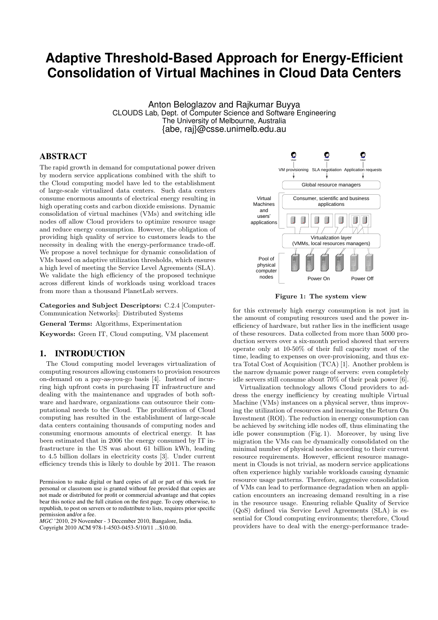# **Adaptive Threshold-Based Approach for Energy-Efficient Consolidation of Virtual Machines in Cloud Data Centers**

Anton Beloglazov and Rajkumar Buyya CLOUDS Lab, Dept. of Computer Science and Software Engineering The University of Melbourne, Australia {abe, raj}@csse.unimelb.edu.au

# ABSTRACT

The rapid growth in demand for computational power driven by modern service applications combined with the shift to the Cloud computing model have led to the establishment of large-scale virtualized data centers. Such data centers consume enormous amounts of electrical energy resulting in high operating costs and carbon dioxide emissions. Dynamic consolidation of virtual machines (VMs) and switching idle nodes off allow Cloud providers to optimize resource usage and reduce energy consumption. However, the obligation of providing high quality of service to customers leads to the necessity in dealing with the energy-performance trade-off. We propose a novel technique for dynamic consolidation of VMs based on adaptive utilization thresholds, which ensures a high level of meeting the Service Level Agreements (SLA). We validate the high efficiency of the proposed technique across different kinds of workloads using workload traces from more than a thousand PlanetLab servers.

Categories and Subject Descriptors: C.2.4 [Computer-Communication Networks]: Distributed Systems

General Terms: Algorithms, Experimentation

Keywords: Green IT, Cloud computing, VM placement

# 1. INTRODUCTION

The Cloud computing model leverages virtualization of computing resources allowing customers to provision resources on-demand on a pay-as-you-go basis [4]. Instead of incurring high upfront costs in purchasing IT infrastructure and dealing with the maintenance and upgrades of both software and hardware, organizations can outsource their computational needs to the Cloud. The proliferation of Cloud computing has resulted in the establishment of large-scale data centers containing thousands of computing nodes and consuming enormous amounts of electrical energy. It has been estimated that in 2006 the energy consumed by IT infrastructure in the US was about 61 billion kWh, leading to 4.5 billion dollars in electricity costs [3]. Under current efficiency trends this is likely to double by 2011. The reason

Permission to make digital or hard copies of all or part of this work for personal or classroom use is granted without fee provided that copies are not made or distributed for profit or commercial advantage and that copies bear this notice and the full citation on the first page. To copy otherwise, to republish, to post on servers or to redistribute to lists, requires prior specific permission and/or a fee.

*MGC* '2010, 29 November - 3 December 2010, Bangalore, India. Copyright 2010 ACM 978-1-4503-0453-5/10/11 ...\$10.00.



Figure 1: The system view

for this extremely high energy consumption is not just in the amount of computing resources used and the power inefficiency of hardware, but rather lies in the inefficient usage of these resources. Data collected from more than 5000 production servers over a six-month period showed that servers operate only at 10-50% of their full capacity most of the time, leading to expenses on over-provisioning, and thus extra Total Cost of Acquisition (TCA) [1]. Another problem is the narrow dynamic power range of servers: even completely idle servers still consume about 70% of their peak power [6].

Virtualization technology allows Cloud providers to address the energy inefficiency by creating multiple Virtual Machine (VMs) instances on a physical server, thus improving the utilization of resources and increasing the Return On Investment (ROI). The reduction in energy consumption can be achieved by switching idle nodes off, thus eliminating the idle power consumption (Fig. 1). Moreover, by using live migration the VMs can be dynamically consolidated on the minimal number of physical nodes according to their current resource requirements. However, efficient resource management in Clouds is not trivial, as modern service applications often experience highly variable workloads causing dynamic resource usage patterns. Therefore, aggressive consolidation of VMs can lead to performance degradation when an application encounters an increasing demand resulting in a rise in the resource usage. Ensuring reliable Quality of Service (QoS) defined via Service Level Agreements (SLA) is essential for Cloud computing environments; therefore, Cloud providers have to deal with the energy-performance trade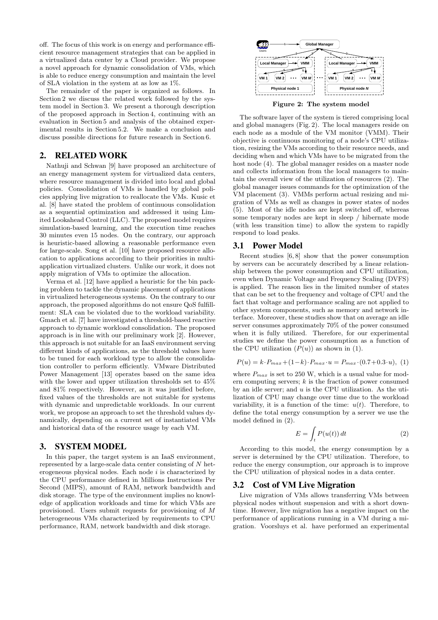off. The focus of this work is on energy and performance efficient resource management strategies that can be applied in a virtualized data center by a Cloud provider. We propose a novel approach for dynamic consolidation of VMs, which is able to reduce energy consumption and maintain the level of SLA violation in the system at as low as 1%.

The remainder of the paper is organized as follows. In Section 2 we discuss the related work followed by the system model in Section 3. We present a thorough description of the proposed approach in Section 4, continuing with an evaluation in Section 5 and analysis of the obtained experimental results in Section 5.2. We make a conclusion and discuss possible directions for future research in Section 6.

# 2. RELATED WORK

Nathuji and Schwan [9] have proposed an architecture of an energy management system for virtualized data centers, where resource management is divided into local and global policies. Consolidation of VMs is handled by global policies applying live migration to reallocate the VMs. Kusic et al. [8] have stated the problem of continuous consolidation as a sequential optimization and addressed it using Limited Lookahead Control (LLC). The proposed model requires simulation-based learning, and the execution time reaches 30 minutes even 15 nodes. On the contrary, our approach is heuristic-based allowing a reasonable performance even for large-scale. Song et al. [10] have proposed resource allocation to applications according to their priorities in multiapplication virtualized clusters. Unlike our work, it does not apply migration of VMs to optimize the allocation.

Verma et al. [12] have applied a heuristic for the bin packing problem to tackle the dynamic placement of applications in virtualized heterogeneous systems. On the contrary to our approach, the proposed algorithms do not ensure QoS fulfillment: SLA can be violated due to the workload variability. Gmach et al. [7] have investigated a threshold-based reactive approach to dynamic workload consolidation. The proposed approach is in line with our preliminary work [2]. However, this approach is not suitable for an IaaS environment serving different kinds of applications, as the threshold values have to be tuned for each workload type to allow the consolidation controller to perform efficiently. VMware Distributed Power Management [13] operates based on the same idea with the lower and upper utilization thresholds set to 45% and 81% respectively. However, as it was justified before, fixed values of the thresholds are not suitable for systems with dynamic and unpredictable workloads. In our current work, we propose an approach to set the threshold values dynamically, depending on a current set of instantiated VMs and historical data of the resource usage by each VM.

# 3. SYSTEM MODEL

In this paper, the target system is an IaaS environment, represented by a large-scale data center consisting of N heterogeneous physical nodes. Each node  $i$  is characterized by the CPU performance defined in Millions Instructions Per Second (MIPS), amount of RAM, network bandwidth and disk storage. The type of the environment implies no knowledge of application workloads and time for which VMs are provisioned. Users submit requests for provisioning of M heterogeneous VMs characterized by requirements to CPU performance, RAM, network bandwidth and disk storage.



Figure 2: The system model

The software layer of the system is tiered comprising local and global managers (Fig. 2). The local managers reside on each node as a module of the VM monitor (VMM). Their objective is continuous monitoring of a node's CPU utilization, resizing the VMs according to their resource needs, and deciding when and which VMs have to be migrated from the host node (4). The global manager resides on a master node and collects information from the local managers to maintain the overall view of the utilization of resources (2). The global manager issues commands for the optimization of the VM placement (3). VMMs perform actual resizing and migration of VMs as well as changes in power states of nodes (5). Most of the idle nodes are kept switched off, whereas some temporary nodes are kept in sleep / hibernate mode (with less transition time) to allow the system to rapidly respond to load peaks.

## 3.1 Power Model

Recent studies [6, 8] show that the power consumption by servers can be accurately described by a linear relationship between the power consumption and CPU utilization, even when Dynamic Voltage and Frequency Scaling (DVFS) is applied. The reason lies in the limited number of states that can be set to the frequency and voltage of CPU and the fact that voltage and performance scaling are not applied to other system components, such as memory and network interface. Moreover, these studies show that on average an idle server consumes approximately 70% of the power consumed when it is fully utilized. Therefore, for our experimental studies we define the power consumption as a function of the CPU utilization  $(P(u))$  as shown in (1).

$$
P(u) = k \cdot P_{max} + (1 - k) \cdot P_{max} \cdot u = P_{max} \cdot (0.7 + 0.3 \cdot u), \tag{1}
$$

where  $P_{max}$  is set to 250 W, which is a usual value for modern computing servers;  $k$  is the fraction of power consumed by an idle server; and  $u$  is the CPU utilization. As the utilization of CPU may change over time due to the workload variability, it is a function of the time:  $u(t)$ . Therefore, to define the total energy consumption by a server we use the model defined in (2).

$$
E = \int_{t} P(u(t)) dt
$$
 (2)

According to this model, the energy consumption by a server is determined by the CPU utilization. Therefore, to reduce the energy consumption, our approach is to improve the CPU utilization of physical nodes in a data center.

#### 3.2 Cost of VM Live Migration

Live migration of VMs allows transferring VMs between physical nodes without suspension and with a short downtime. However, live migration has a negative impact on the performance of applications running in a VM during a migration. Voorsluys et al. have performed an experimental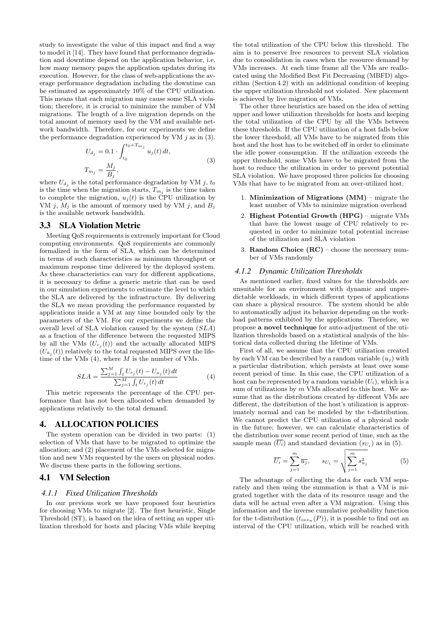study to investigate the value of this impact and find a way to model it [14]. They have found that performance degradation and downtime depend on the application behavior, i.e. how many memory pages the application updates during its execution. However, for the class of web-applications the average performance degradation including the downtime can be estimated as approximately 10% of the CPU utilization. This means that each migration may cause some SLA violation; therefore, it is crucial to minimize the number of VM migrations. The length of a live migration depends on the total amount of memory used by the VM and available network bandwidth. Therefore, for our experiments we define the performance degradation experienced by VM  $j$  as in (3).

$$
U_{d_j} = 0.1 \cdot \int_{t_0}^{t_0 + T_{m_j}} u_j(t) dt,
$$
  
\n
$$
T_{m_j} = \frac{M_j}{B_j},
$$
\n(3)

where  $U_{d_j}$  is the total performance degradation by VM j,  $t_0$ is the time when the migration starts,  $T_{m_j}$  is the time taken to complete the migration,  $u_i(t)$  is the CPU utilization by VM  $j$ ,  $M_j$  is the amount of memory used by VM  $j$ , and  $B_j$ is the available network bandwidth.

#### 3.3 SLA Violation Metric

Meeting QoS requirements is extremely important for Cloud computing environments. QoS requirements are commonly formalized in the form of SLA, which can be determined in terms of such characteristics as minimum throughput or maximum response time delivered by the deployed system. As these characteristics can vary for different applications, it is necessary to define a generic metric that can be used in our simulation experiments to estimate the level to which the SLA are delivered by the infrastructure. By delivering the SLA we mean providing the performance requested by applications inside a VM at any time bounded only by the parameters of the VM. For our experiments we define the overall level of SLA violation caused by the system (SLA) as a fraction of the difference between the requested MIPS by all the VMs  $(U_{r_j}(t))$  and the actually allocated MIPS  $(U_{a_j}(t))$  relatively to the total requested MIPS over the lifetime of the VMs  $(4)$ , where M is the number of VMs.

$$
SLA = \frac{\sum_{j=1}^{M} \int_{t} U_{r_j}(t) - U_{a_j}(t) dt}{\sum_{j=1}^{M} \int_{t} U_{r_j}(t) dt}
$$
(4)

This metric represents the percentage of the CPU performance that has not been allocated when demanded by applications relatively to the total demand.

#### 4. ALLOCATION POLICIES

The system operation can be divided in two parts: (1) selection of VMs that have to be migrated to optimize the allocation; and (2) placement of the VMs selected for migration and new VMs requested by the users on physical nodes. We discuss these parts in the following sections.

# 4.1 VM Selection

#### *4.1.1 Fixed Utilization Thresholds*

In our previous work we have proposed four heuristics for choosing VMs to migrate [2]. The first heuristic, Single Threshold (ST), is based on the idea of setting an upper utilization threshold for hosts and placing VMs while keeping

the total utilization of the CPU below this threshold. The aim is to preserve free resources to prevent SLA violation due to consolidation in cases when the resource demand by VMs increases. At each time frame all the VMs are reallocated using the Modified Best Fit Decreasing (MBFD) algorithm (Section 4.2) with an additional condition of keeping the upper utilization threshold not violated. New placement is achieved by live migration of VMs.

The other three heuristics are based on the idea of setting upper and lower utilization thresholds for hosts and keeping the total utilization of the CPU by all the VMs between these thresholds. If the CPU utilization of a host falls below the lower threshold, all VMs have to be migrated from this host and the host has to be switched off in order to eliminate the idle power consumption. If the utilization exceeds the upper threshold, some VMs have to be migrated from the host to reduce the utilization in order to prevent potential SLA violation. We have proposed three policies for choosing VMs that have to be migrated from an over-utilized host.

- 1. Minimization of Migrations (MM) migrate the least number of VMs to minimize migration overhead
- 2. Highest Potential Growth (HPG) migrate VMs that have the lowest usage of CPU relatively to requested in order to minimize total potential increase of the utilization and SLA violation
- 3. Random Choice  $(RC)$  choose the necessary number of VMs randomly

#### *4.1.2 Dynamic Utilization Thresholds*

As mentioned earlier, fixed values for the thresholds are unsuitable for an environment with dynamic and unpredictable workloads, in which different types of applications can share a physical resource. The system should be able to automatically adjust its behavior depending on the workload patterns exhibited by the applications. Therefore, we propose a novel technique for auto-adjustment of the utilization thresholds based on a statistical analysis of the historical data collected during the lifetime of VMs.

First of all, we assume that the CPU utilization created by each VM can be described by a random variable  $(u_i)$  with a particular distribution, which persists at least over some recent period of time. In this case, the CPU utilization of a host can be represented by a random variable  $(U_i)$ , which is a sum of utilizations by  $m$  VMs allocated to this host. We assume that as the distributions created by different VMs are different, the distribution of the host's utilization is approximately normal and can be modeled by the t-distribution. We cannot predict the CPU utilization of a physical node in the future; however, we can calculate characteristics of the distribution over some recent period of time, such as the sample mean  $(U_i)$  and standard deviation  $(s_{U_i})$  as in  $(5)$ .

$$
\overline{U_i} = \sum_{j=1}^{m} \overline{u_j}, \qquad s_{U_i} = \sqrt{\sum_{j=1}^{m} s_{u_j}^2} \tag{5}
$$

The advantage of collecting the data for each VM separately and then using the summation is that a VM is migrated together with the data of its resource usage and the data will be actual even after a VM migration. Using this information and the inverse cumulative probability function for the t-distribution  $(t_{inv_n}(P))$ , it is possible to find out an interval of the CPU utilization, which will be reached with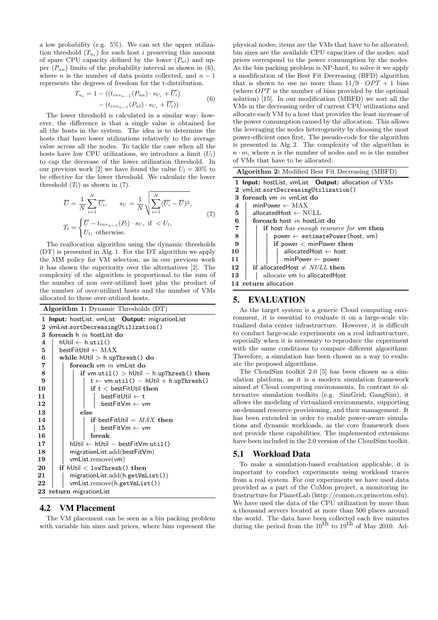a low probability (e.g. 5%). We can set the upper utilization threshold  $(T_{u_i})$  for each host i preserving this amount of spare CPU capacity defined by the lower  $(P_{ul})$  and upper  $(P_{uu})$  limits of the probability interval as shown in (6), where *n* is the number of data points collected, and  $n - 1$ represents the degrees of freedom for the t-distribution.

$$
T_{u_i} = 1 - ((t_{inv_{n-1}}(P_{uu}) \cdot sv_i + U_i) - (t_{inv_{n-1}}(P_{ul}) \cdot sv_i + \overline{U_i}))
$$
\n(6)

The lower threshold is calculated in a similar way; however, the difference is that a single value is obtained for all the hosts in the system. The idea is to determine the hosts that have lower utilizations relatively to the average value across all the nodes. To tackle the case when all the hosts have low CPU utilizations, we introduce a limit  $(U_l)$ to cap the decrease of the lower utilization threshold. In our previous work [2] we have found the value  $U_l = 30\%$  to be effective for the lower threshold. We calculate the lower threshold  $(T_l)$  as shown in  $(7)$ .

$$
\overline{U} = \frac{1}{N} \sum_{i=1}^{N} \overline{U_i}, \qquad s_U = \frac{1}{N} \sqrt{\sum_{i=1}^{N} (\overline{U_i} - \overline{U})^2},
$$
\n
$$
T_l = \begin{cases}\n\overline{U} - t_{inv_{n-1}}(P_l) \cdot s_U, & \text{if } < U_l, \\
U_l, & \text{otherwise.} \n\end{cases}
$$
\n(7)

The reallocation algorithm using the dynamic thresholds (DT) is presented in Alg. 1. For the DT algorithm we apply the MM policy for VM selection, as in our previous work it has shown the superiority over the alternatives [2]. The complexity of the algorithm is proportional to the sum of the number of non over-utilized host plus the product of the number of over-utilized hosts and the number of VMs allocated to these over-utilized hosts.

Algorithm 1: Dynamic Thresholds (DT)

| $\mathbf{1}$   | <b>Input:</b> hostList, vmList <b>Output:</b> migrationList          |  |  |  |  |  |
|----------------|----------------------------------------------------------------------|--|--|--|--|--|
|                | 2 vmList.sortDecreasingUtilization()                                 |  |  |  |  |  |
|                | 3 foreach $\mathfrak h$ <i>in</i> host List do                       |  |  |  |  |  |
| 4              | $hUtil \leftarrow h.util()$                                          |  |  |  |  |  |
| 5              | $bestFitUtil \leftarrow MAX$                                         |  |  |  |  |  |
| 6              | while $hUti$ > h.upThresh() do                                       |  |  |  |  |  |
| $\overline{7}$ | foreach vm in vmList do                                              |  |  |  |  |  |
| 8              | if $vm.util() > hUtil - h.upThresh() then$                           |  |  |  |  |  |
| 9              | $t \leftarrow \text{vm.util()} - \text{hUtil} + \text{h.upThresh()}$ |  |  |  |  |  |
| 10             | if $t <$ bestFitUtil then                                            |  |  |  |  |  |
| 11             | bestFitUtil $\leftarrow$ t                                           |  |  |  |  |  |
| 12             | bestFitVm $\leftarrow$ vm                                            |  |  |  |  |  |
| 13             | else                                                                 |  |  |  |  |  |
| 14             | if best Fit Util $= MAX$ then                                        |  |  |  |  |  |
| 15             | bestFitVm $\leftarrow$ vm                                            |  |  |  |  |  |
| 16             | break                                                                |  |  |  |  |  |
| 17             | $hUtil \leftarrow hUtil - bestFitVm.util()$                          |  |  |  |  |  |
| 18             | migrationList.add(bestFitVm)                                         |  |  |  |  |  |
| 19             | $vmList$ .remove $(vm)$                                              |  |  |  |  |  |
| 20             | if $hUtil < 1$ owThresh() then                                       |  |  |  |  |  |
| 21             | migrationList.add(h.getVmList())                                     |  |  |  |  |  |
| 22             | vmList.remove(h.getVmList())                                         |  |  |  |  |  |
|                | 23 return migrationList                                              |  |  |  |  |  |
|                |                                                                      |  |  |  |  |  |

#### 4.2 VM Placement

The VM placement can be seen as a bin packing problem with variable bin sizes and prices, where bins represent the

physical nodes; items are the VMs that have to be allocated; bin sizes are the available CPU capacities of the nodes; and prices correspond to the power consumption by the nodes. As the bin packing problem is NP-hard, to solve it we apply a modification of the Best Fit Decreasing (BFD) algorithm that is shown to use no more than  $11/9 \cdot OPT + 1$  bins (where  $OPT$  is the number of bins provided by the optimal solution) [15]. In our modification (MBFD) we sort all the VMs in the decreasing order of current CPU utilizations and allocate each VM to a host that provides the least increase of the power consumption caused by the allocation. This allows the leveraging the nodes heterogeneity by choosing the most power-efficient ones first. The pseudo-code for the algorithm is presented in Alg. 2. The complexity of the algorithm is  $n \cdot m$ , where n is the number of nodes and m is the number of VMs that have to be allocated.

| <b>Algorithm 2:</b> Modified Best Fit Decreasing (MBFD) |  |  |  |  |  |  |  |
|---------------------------------------------------------|--|--|--|--|--|--|--|
|---------------------------------------------------------|--|--|--|--|--|--|--|

|                |                                      |                                  | 1 Input: hostList, vmList Output: allocation of VMs |  |  |
|----------------|--------------------------------------|----------------------------------|-----------------------------------------------------|--|--|
|                | 2 vmList.sortDecreasingUtilization() |                                  |                                                     |  |  |
|                |                                      |                                  | 3 foreach vm $in$ vm List do                        |  |  |
| 4              |                                      |                                  | $minPower \leftarrow MAX$                           |  |  |
| 5              |                                      | allocated Host $\leftarrow$ NULL |                                                     |  |  |
| 6              |                                      | foreach host in host list do     |                                                     |  |  |
| $\overline{7}$ |                                      |                                  | if host has enough resource for ym then             |  |  |
| 8              |                                      |                                  | power $\leftarrow$ estimatePower(host, vm)          |  |  |
| 9              |                                      | if power $\langle$ minPower then |                                                     |  |  |
| 10             |                                      |                                  | allocated Host $\leftarrow$ host                    |  |  |
| 11             |                                      |                                  | $minPower \leftarrow power$                         |  |  |
| 12             | if allocated Host $\neq$ $NULL$ then |                                  |                                                     |  |  |
| 13             | allocate vm to allocated Host        |                                  |                                                     |  |  |
|                | 14 return allocation                 |                                  |                                                     |  |  |
|                |                                      |                                  |                                                     |  |  |

#### 5. EVALUATION

As the target system is a generic Cloud computing environment, it is essential to evaluate it on a large-scale virtualized data center infrastructure. However, it is difficult to conduct large-scale experiments on a real infrastructure, especially when it is necessary to reproduce the experiment with the same conditions to compare different algorithms. Therefore, a simulation has been chosen as a way to evaluate the proposed algorithms.

The CloudSim toolkit 2.0 [5] has been chosen as a simulation platform, as it is a modern simulation framework aimed at Cloud computing environments. In contrast to alternative simulation toolkits (e.g. SimGrid, GangSim), it allows the modeling of virtualized environments, supporting on-demand resource provisioning, and their management. It has been extended in order to enable power-aware simulations and dynamic workloads, as the core framework does not provide these capabilities. The implemented extensions have been included in the 2.0 version of the CloudSim toolkit.

## 5.1 Workload Data

To make a simulation-based evaluation applicable, it is important to conduct experiments using workload traces from a real system. For our experiments we have used data provided as a part of the CoMon project, a monitoring infrastructure for PlanetLab (http://comon.cs.princeton.edu). We have used the data of the CPU utilization by more than a thousand servers located at more than 500 places around the world. The data have been collected each five minutes during the period from the  $10^{th}$  to  $19^{th}$  of May 2010. Ad-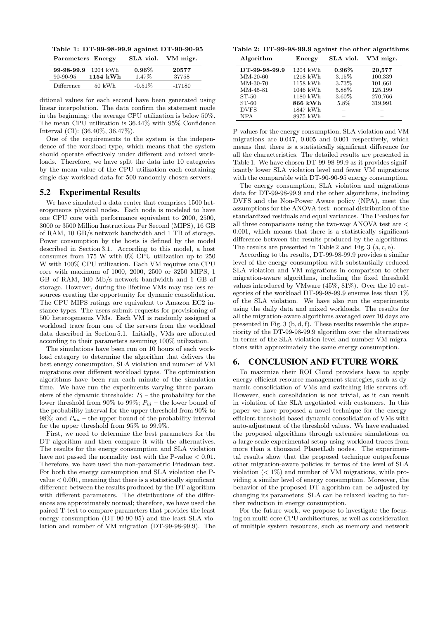Table 1: DT-99-98-99.9 against DT-90-90-95

| Parameters Energy |                  | SLA viol. | VM migr. |
|-------------------|------------------|-----------|----------|
| 99-98-99.9        | 1204 kWh         | $0.96\%$  | 20577    |
| $90 - 90 - 95$    | $1154$ kWh       | 1.47\%    | 37758    |
| Difference        | $50 \text{ kWh}$ | -0.51%    | $-17180$ |

ditional values for each second have been generated using linear interpolation. The data confirm the statement made in the beginning: the average CPU utilization is below 50%. The mean CPU utilization is 36.44% with 95% Confidence Interval (CI): (36.40%, 36.47%).

One of the requirements to the system is the independence of the workload type, which means that the system should operate effectively under different and mixed workloads. Therefore, we have split the data into 10 categories by the mean value of the CPU utilization each containing single-day workload data for 500 randomly chosen servers.

#### 5.2 Experimental Results

We have simulated a data center that comprises 1500 heterogeneous physical nodes. Each node is modeled to have one CPU core with performance equivalent to 2000, 2500, 3000 or 3500 Million Instructions Per Second (MIPS), 16 GB of RAM, 10 GB/s network bandwidth and 1 TB of storage. Power consumption by the hosts is defined by the model described in Section 3.1. According to this model, a host consumes from 175 W with 0% CPU utilization up to 250 W with 100% CPU utilization. Each VM requires one CPU core with maximum of 1000, 2000, 2500 or 3250 MIPS, 1 GB of RAM, 100 Mb/s network bandwidth and 1 GB of storage. However, during the lifetime VMs may use less resources creating the opportunity for dynamic consolidation. The CPU MIPS ratings are equivalent to Amazon EC2 instance types. The users submit requests for provisioning of 500 heterogeneous VMs. Each VM is randomly assigned a workload trace from one of the servers from the workload data described in Section 5.1. Initially, VMs are allocated according to their parameters assuming 100% utilization.

The simulations have been run on 10 hours of each workload category to determine the algorithm that delivers the best energy consumption, SLA violation and number of VM migrations over different workload types. The optimization algorithms have been run each minute of the simulation time. We have run the experiments varying three parameters of the dynamic thresholds:  $P_l$  – the probability for the lower threshold from 90% to 99%;  $P_{ul}$  – the lower bound of the probability interval for the upper threshold from 90% to 98%; and  $P_{uu}$  – the upper bound of the probability interval for the upper threshold from 95% to 99.9%.

First, we need to determine the best parameters for the DT algorithm and then compare it with the alternatives. The results for the energy consumption and SLA violation have not passed the normality test with the P-value  $< 0.01$ . Therefore, we have used the non-parametric Friedman test. For both the energy consumption and SLA violation the P $value < 0.001$ , meaning that there is a statistically significant difference between the results produced by the DT algorithm with different parameters. The distributions of the differences are approximately normal; therefore, we have used the paired T-test to compare parameters that provides the least energy consumption (DT-90-90-95) and the least SLA violation and number of VM migration (DT-99-98-99.9). The

Table 2: DT-99-98-99.9 against the other algorithms

| Algorithm     | Energy     | SLA viol. | VM migr. |
|---------------|------------|-----------|----------|
| DT-99-98-99.9 | $1204$ kWh | $0.96\%$  | 20,577   |
| $MM-20-60$    | $1218$ kWh | 3.15%     | 100,339  |
| MM-30-70      | $1158$ kWh | 3.73%     | 101,661  |
| MM-45-81      | $1046$ kWh | 5.88%     | 125,199  |
| $ST-50$       | 1180 kWh   | 3.60%     | 270,766  |
| $ST-60$       | 866 kWh    | 5.8%      | 319,991  |
| <b>DVFS</b>   | 1847 kWh   |           |          |
| <b>NPA</b>    | 8975 kWh   |           |          |

P-values for the energy consumption, SLA violation and VM migrations are 0.047, 0.005 and 0.001 respectively, which means that there is a statistically significant difference for all the characteristics. The detailed results are presented in Table 1. We have chosen DT-99-98-99.9 as it provides significantly lower SLA violation level and fewer VM migrations with the comparable with DT-90-90-95 energy consumption.

The energy consumption, SLA violation and migrations data for DT-99-98-99.9 and the other algorithms, including DVFS and the Non-Power Aware policy (NPA), meet the assumptions for the ANOVA test: normal distribution of the standardized residuals and equal variances. The P-values for all three comparisons using the two-way ANOVA test are < 0.001, which means that there is a statistically significant difference between the results produced by the algorithms. The results are presented in Table 2 and Fig. 3 (a, c, e).

According to the results, DT-99-98-99.9 provides a similar level of the energy consumption with substantially reduced SLA violation and VM migrations in comparison to other migration-aware algorithms, including the fixed threshold values introduced by VMware (45%, 81%). Over the 10 categories of the workload DT-99-98-99.9 ensures less than 1% of the SLA violation. We have also run the experiments using the daily data and mixed workloads. The results for all the migration-aware algorithms averaged over 10 days are presented in Fig. 3  $(b, d, f)$ . These results resemble the superiority of the DT-99-98-99.9 algorithm over the alternatives in terms of the SLA violation level and number VM migrations with approximately the same energy consumption.

# 6. CONCLUSION AND FUTURE WORK

To maximize their ROI Cloud providers have to apply energy-efficient resource management strategies, such as dynamic consolidation of VMs and switching idle servers off. However, such consolidation is not trivial, as it can result in violation of the SLA negotiated with customers. In this paper we have proposed a novel technique for the energyefficient threshold-based dynamic consolidation of VMs with auto-adjustment of the threshold values. We have evaluated the proposed algorithms through extensive simulations on a large-scale experimental setup using workload traces from more than a thousand PlanetLab nodes. The experimental results show that the proposed technique outperforms other migration-aware policies in terms of the level of SLA violation  $(< 1\%)$  and number of VM migrations, while providing a similar level of energy consumption. Moreover, the behavior of the proposed DT algorithm can be adjusted by changing its parameters: SLA can be relaxed leading to further reduction in energy consumption.

For the future work, we propose to investigate the focusing on multi-core CPU architectures, as well as consideration of multiple system resources, such as memory and network